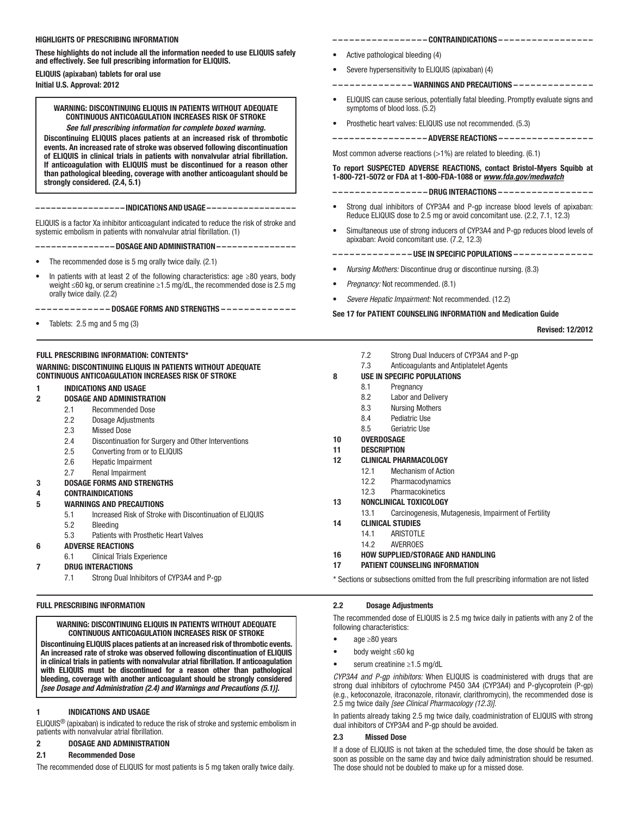#### HIGHLIGHTS OF PRESCRIBING INFORMATION

#### These highlights do not include all the information needed to use ELIQUIS safely and effectively. See full prescribing information for ELIQUIS.

ELIQUIS (apixaban) tablets for oral use Initial U.S. Approval: 2012

#### WARNING: DISCONTINUING ELIQUIS IN PATIENTS WITHOUT ADEQUATE CONTINUOUS ANTICOAGULATION INCREASES RISK OF STROKE

*See full prescribing information for complete boxed warning.* Discontinuing ELIQUIS places patients at an increased risk of thrombotic

events. An increased rate of stroke was observed following discontinuation of ELIQUIS in clinical trials in patients with nonvalvular atrial fibrillation. If anticoagulation with ELIQUIS must be discontinued for a reason other than pathological bleeding, coverage with another anticoagulant should be strongly considered. (2.4, 5.1)

– – – – – – – – – – – – – – – – – INDICATIONS AND USAGE – – – – – – – – – – – – – – – – –

ELIQUIS is a factor Xa inhibitor anticoagulant indicated to reduce the risk of stroke and systemic embolism in patients with nonvalvular atrial fibrillation. (1)

– – – – – – – – – – – – – – – DOSAGE AND ADMINISTRATION – – – – – – – – – – – – – – –

- The recommended dose is  $5$  mg orally twice daily.  $(2.1)$
- In patients with at least 2 of the following characteristics: age ≥80 years, body weight ≤60 kg, or serum creatinine ≥1.5 mg/dL, the recommended dose is 2.5 mg orally twice daily. (2.2)

– – – – – – – – – – – – – DOSAGE FORMS AND STRENGTHS – – – – – – – – – – – – –

Tablets:  $2.5 \text{ mg}$  and  $5 \text{ mg}$  (3)

### FULL PRESCRIBING INFORMATION: CONTENTS\* WARNING: DISCONTINUING ELIQUIS IN PATIENTS WITHOUT ADEQUATE CONTINUOUS ANTICOAGULATION INCREASES RISK OF STROKE

### 1 INDICATIONS AND USAGE

- 2 DOSAGE AND ADMINISTRATION
	- 2.1 Recommended Dose
	- 2.2 Dosage Adjustments
	- 2.3 Missed Dose
	- 2.4 Discontinuation for Surgery and Other Interventions
	- 2.5 Converting from or to ELIQUIS
	- 2.6 Hepatic Impairment
	- 2.7 Renal Impairment
- 3 DOSAGE FORMS AND STRENGTHS

#### 4 CONTRAINDICATIONS

- 5 WARNINGS AND PRECAUTIONS
	- 5.1 Increased Risk of Stroke with Discontinuation of ELIQUIS
	- 5.2 Bleeding
	- 5.3 Patients with Prosthetic Heart Valves
- 6 ADVERSE REACTIONS

#### 6.1 Clinical Trials Experience

- 7 DRUG INTERACTIONS
	- 7.1 Strong Dual Inhibitors of CYP3A4 and P-gp

#### FULL PRESCRIBING INFORMATION

WARNING: DISCONTINUING ELIQUIS IN PATIENTS WITHOUT ADEQUATE CONTINUOUS ANTICOAGULATION INCREASES RISK OF STROKE

Discontinuing ELIQUIS places patients at an increased risk of thrombotic events. An increased rate of stroke was observed following discontinuation of ELIQUIS in clinical trials in patients with nonvalvular atrial fibrillation. If anticoagulation with ELIQUIS must be discontinued for a reason other than pathological bleeding, coverage with another anticoagulant should be strongly considered *[see Dosage and Administration (2.4) and Warnings and Precautions (5.1)].*

#### 1 INDICATIONS AND USAGE

ELIQUIS® (apixaban) is indicated to reduce the risk of stroke and systemic embolism in patients with nonvalvular atrial fibrillation.

2 DOSAGE AND ADMINISTRATION

#### 2.1 Recommended Dose

The recommended dose of ELIQUIS for most patients is 5 mg taken orally twice daily.

#### – – – – – – – – – – – – – – – – – CONTRAINDICATIONS – – – – – – – – – – – – – – – – –

- Active pathological bleeding (4)
- Severe hypersensitivity to ELIQUIS (apixaban) (4)
- – – – – – – – WARNINGS AND PRECAUTIONS – – – – – – –
- • ELIQUIS can cause serious, potentially fatal bleeding. Promptly evaluate signs and symptoms of blood loss. (5.2)
- Prosthetic heart valves: ELIQUIS use not recommended. (5.3)
- – – – – – – – – ADVERSE REACTIONS – – – – – – – – –

Most common adverse reactions (>1%) are related to bleeding. (6.1)

To report SUSPECTED ADVERSE REACTIONS, contact Bristol-Myers Squibb at 1-800-721-5072 or FDA at 1-800-FDA-1088 or *www.fda.gov/medwatch*

- – – – – – – – – DRUG INTERACTIONS – – – – – – – – –
- Strong dual inhibitors of CYP3A4 and P-gp increase blood levels of apixaban: Reduce ELIQUIS dose to 2.5 mg or avoid concomitant use. (2.2, 7.1, 12.3)
- Simultaneous use of strong inducers of CYP3A4 and P-gp reduces blood levels of apixaban: Avoid concomitant use. (7.2, 12.3)
- – – – – – – – USE IN SPECIFIC POPULATIONS – – – – – – –
- *Nursing Mothers:* Discontinue drug or discontinue nursing. (8.3)
- *Pregnancy:* Not recommended. (8.1)
- *Severe Hepatic Impairment:* Not recommended. (12.2)

### See 17 for PATIENT COUNSELING INFORMATION and Medication Guide

| <b>Revised: 12/2012</b> |  |
|-------------------------|--|
|-------------------------|--|

- 7.2 Strong Dual Inducers of CYP3A4 and P-gp
- 7.3 Anticoagulants and Antiplatelet Agents

# 8 USE IN SPECIFIC POPULATIONS

- 8.1 Pregnancy
- 8.2 Labor and Delivery
- 8.3 Nursing Mothers
- 8.4 Pediatric Use
- 8.5 Geriatric Use
- 10 OVERDOSAGE

#### 11 DESCRIPTION

- 12 CLINICAL PHARMACOLOGY
	- 12.1 Mechanism of Action
		- 12.2 Pharmacodynamics
		- 12.3 Pharmacokinetics

### 13 NONCLINICAL TOXICOLOGY

- 13.1 Carcinogenesis, Mutagenesis, Impairment of Fertility
- 14 CLINICAL STUDIES
	- 14.1 ARISTOTLE
	- 14.2 AVERROES

# 16 HOW SUPPLIED/STORAGE AND HANDLING

17 PATIENT COUNSELING INFORMATION

\* Sections or subsections omitted from the full prescribing information are not listed

#### 2.2 Dosage Adjustments

The recommended dose of ELIQUIS is 2.5 mg twice daily in patients with any 2 of the following characteristics:

- age ≥80 years
- body weight ≤60 kg
- serum creatinine ≥1.5 mg/dL

*CYP3A4 and P-gp inhibitors:* When ELIQUIS is coadministered with drugs that are strong dual inhibitors of cytochrome P450 3A4 (CYP3A4) and P-glycoprotein (P-gp) (e.g., ketoconazole, itraconazole, ritonavir, clarithromycin), the recommended dose is 2.5 mg twice daily *[see Clinical Pharmacology (12.3)].*

In patients already taking 2.5 mg twice daily, coadministration of ELIQUIS with strong dual inhibitors of CYP3A4 and P-gp should be avoided.

### 2.3 Missed Dose

If a dose of ELIQUIS is not taken at the scheduled time, the dose should be taken as soon as possible on the same day and twice daily administration should be resumed. The dose should not be doubled to make up for a missed dose.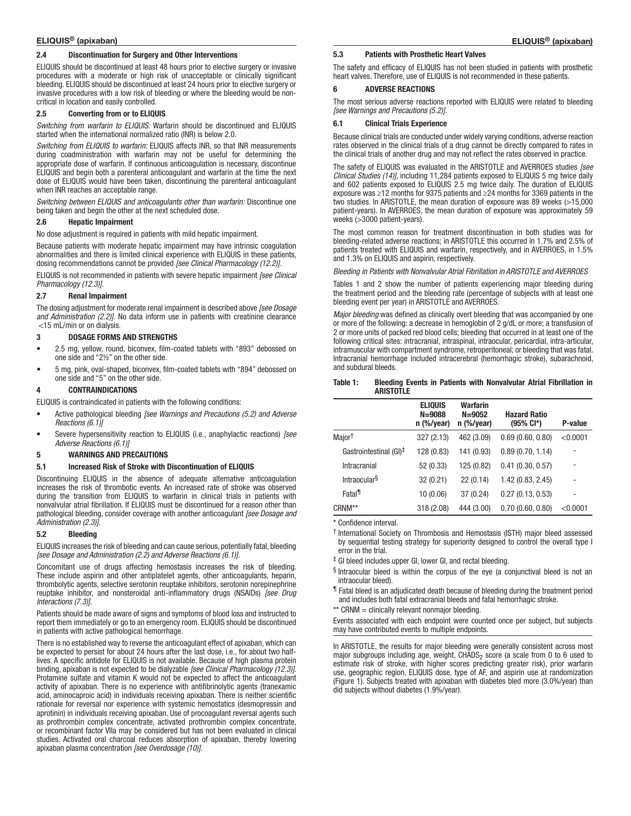### ELIQUIS® (apixaban) ELIQUIS® (apixaban)

### 2.4 Discontinuation for Surgery and Other Interventions

ELIQUIS should be discontinued at least 48 hours prior to elective surgery or invasive procedures with a moderate or high risk of unacceptable or clinically significant bleeding. ELIQUIS should be discontinued at least 24 hours prior to elective surgery or invasive procedures with a low risk of bleeding or where the bleeding would be noncritical in location and easily controlled.

# 2.5 Converting from or to ELIQUIS

*Switching from warfarin to ELIQUIS:* Warfarin should be discontinued and ELIQUIS started when the international normalized ratio (INR) is below 2.0.

*Switching from ELIQUIS to warfarin:* ELIQUIS affects INR, so that INR measurements during coadministration with warfarin may not be useful for determining the appropriate dose of warfarin. If continuous anticoagulation is necessary, discontinue ELIQUIS and begin both a parenteral anticoagulant and warfarin at the time the next dose of ELIQUIS would have been taken, discontinuing the parenteral anticoagulant when INR reaches an acceptable range.

*Switching between ELIQUIS and anticoagulants other than warfarin:* Discontinue one being taken and begin the other at the next scheduled dose.

### 2.6 Hepatic Impairment

No dose adjustment is required in patients with mild hepatic impairment.

Because patients with moderate hepatic impairment may have intrinsic coagulation abnormalities and there is limited clinical experience with ELIQUIS in these patients, dosing recommendations cannot be provided *[see Clinical Pharmacology (12.2)].*

ELIQUIS is not recommended in patients with severe hepatic impairment *[see Clinical Pharmacology (12.3)].*

# 2.7 Renal Impairment

The dosing adjustment for moderate renal impairment is described above *[see Dosage and Administration (2.2)]*. No data inform use in patients with creatinine clearance <15 mL/min or on dialysis.

# 3 DOSAGE FORMS AND STRENGTHS

- 2.5 mg, yellow, round, biconvex, film-coated tablets with "893" debossed on one side and "2½" on the other side.
- 5 mg, pink, oval-shaped, biconvex, film-coated tablets with "894" debossed on one side and "5" on the other side.

# 4 CONTRAINDICATIONS

ELIQUIS is contraindicated in patients with the following conditions:

- Active pathological bleeding *[see Warnings and Precautions (5.2) and Adverse Reactions (6.1)]*
- Severe hypersensitivity reaction to ELIQUIS (i.e., anaphylactic reactions) [see *Adverse Reactions (6.1)]*

### 5 WARNINGS AND PRECAUTIONS

### 5.1 Increased Risk of Stroke with Discontinuation of ELIQUIS

Discontinuing ELIQUIS in the absence of adequate alternative anticoagulation increases the risk of thrombotic events. An increased rate of stroke was observed during the transition from ELIQUIS to warfarin in clinical trials in patients with nonvalvular atrial fibrillation. If ELIQUIS must be discontinued for a reason other than pathological bleeding, consider coverage with another anticoagulant *[see Dosage and Administration (2.3)].*

# 5.2 Bleeding

ELIQUIS increases the risk of bleeding and can cause serious, potentially fatal, bleeding *[see Dosage and Administration (2.2) and Adverse Reactions (6.1)].*

Concomitant use of drugs affecting hemostasis increases the risk of bleeding. These include aspirin and other antiplatelet agents, other anticoagulants, heparin, thrombolytic agents, selective serotonin reuptake inhibitors, serotonin norepinephrine reuptake inhibitor, and nonsteroidal anti-inflammatory drugs (NSAIDs) *[see Drug Interactions (7.3)]*.

Patients should be made aware of signs and symptoms of blood loss and instructed to report them immediately or go to an emergency room. ELIQUIS should be discontinued in patients with active pathological hemorrhage.

There is no established way to reverse the anticoagulant effect of apixaban, which can be expected to persist for about 24 hours after the last dose, i.e., for about two halflives. A specific antidote for ELIQUIS is not available. Because of high plasma protein binding, apixaban is not expected to be dialyzable *[see Clinical Pharmacology (12.3)]*. Protamine sulfate and vitamin K would not be expected to affect the anticoagulant activity of apixaban. There is no experience with antifibrinolytic agents (tranexamic acid, aminocaproic acid) in individuals receiving apixaban. There is neither scientific rationale for reversal nor experience with systemic hemostatics (desmopressin and aprotinin) in individuals receiving apixaban. Use of procoagulant reversal agents such as prothrombin complex concentrate, activated prothrombin complex concentrate, or recombinant factor VIIa may be considered but has not been evaluated in clinical studies. Activated oral charcoal reduces absorption of apixaban, thereby lowering apixaban plasma concentration *[see Overdosage (10)]*.

## 5.3 Patients with Prosthetic Heart Valves

The safety and efficacy of ELIQUIS has not been studied in patients with prosthetic heart valves. Therefore, use of ELIQUIS is not recommended in these patients.

### 6 ADVERSE REACTIONS

The most serious adverse reactions reported with ELIQUIS were related to bleeding *[see Warnings and Precautions (5.2)].* 

#### **Clinical Trials Experience**

Because clinical trials are conducted under widely varying conditions, adverse reaction rates observed in the clinical trials of a drug cannot be directly compared to rates in the clinical trials of another drug and may not reflect the rates observed in practice.

The safety of ELIQUIS was evaluated in the ARISTOTLE and AVERROES studies *[see Clinical Studies (14)]*, including 11,284 patients exposed to ELIQUIS 5 mg twice daily and 602 patients exposed to ELIQUIS 2.5 mg twice daily. The duration of ELIQUIS exposure was ≥12 months for 9375 patients and ≥24 months for 3369 patients in the two studies. In ARISTOTLE, the mean duration of exposure was 89 weeks (>15,000 patient-years). In AVERROES, the mean duration of exposure was approximately 59 weeks (>3000 patient-years).

The most common reason for treatment discontinuation in both studies was for bleeding-related adverse reactions; in ARISTOTLE this occurred in 1.7% and 2.5% of patients treated with ELIQUIS and warfarin, respectively, and in AVERROES, in 1.5% and 1.3% on ELIQUIS and aspirin, respectively.

*Bleeding in Patients with Nonvalvular Atrial Fibrillation in ARISTOTLE and AVERROES*

Tables 1 and 2 show the number of patients experiencing major bleeding during the treatment period and the bleeding rate (percentage of subjects with at least one bleeding event per year) in ARISTOTLE and AVERROES.

*Major bleeding* was defined as clinically overt bleeding that was accompanied by one or more of the following: a decrease in hemoglobin of 2 g/dL or more; a transfusion of 2 or more units of packed red blood cells; bleeding that occurred in at least one of the following critical sites: intracranial, intraspinal, intraocular, pericardial, intra-articular, intramuscular with compartment syndrome, retroperitoneal; or bleeding that was fatal. Intracranial hemorrhage included intracerebral (hemorrhagic stroke), subarachnoid, and subdural bleeds.

#### Table 1: Bleeding Events in Patients with Nonvalvular Atrial Fibrillation in **ARISTOTLE**

|                                    | <b>ELIQUIS</b><br>$N = 9088$<br>$n$ (%/year) | <b>Warfarin</b><br>$N = 9052$<br>$n$ (%/year) | <b>Hazard Ratio</b><br>$(95\% \text{ Cl*})$ | P-value  |
|------------------------------------|----------------------------------------------|-----------------------------------------------|---------------------------------------------|----------|
| Major <sup>†</sup>                 | 327 (2.13)                                   | 462 (3.09)                                    | 0.69(0.60, 0.80)                            | < 0.0001 |
| Gastrointestinal (GI) <sup>‡</sup> | 128 (0.83)                                   | 141 (0.93)                                    | 0.89(0.70, 1.14)                            |          |
| Intracranial                       | 52 (0.33)                                    | 125 (0.82)                                    | 0.41(0.30, 0.57)                            |          |
| Intraocular <sup>§</sup>           | 32 (0.21)                                    | 22(0.14)                                      | 1.42 (0.83, 2.45)                           |          |
| Fatal <sup>¶</sup>                 | 10(0.06)                                     | 37 (0.24)                                     | 0.27(0.13, 0.53)                            |          |
| CRNM**                             | 318 (2.08)                                   | 444 (3.00)                                    | 0.70(0.60, 0.80)                            | < 0.0001 |

\* Confidence interval.

† International Society on Thrombosis and Hemostasis (ISTH) major bleed assessed by sequential testing strategy for superiority designed to control the overall type I error in the trial.

‡ GI bleed includes upper GI, lower GI, and rectal bleeding.

§ Intraocular bleed is within the corpus of the eye (a conjunctival bleed is not an intraocular bleed).

¶ Fatal bleed is an adjudicated death because of bleeding during the treatment period and includes both fatal extracranial bleeds and fatal hemorrhagic stroke.

\*\* CRNM = clinically relevant nonmajor bleeding.

Events associated with each endpoint were counted once per subject, but subjects may have contributed events to multiple endpoints.

In ARISTOTLE, the results for major bleeding were generally consistent across most major subgroups including age, weight,  $CHADS<sub>2</sub>$  score (a scale from 0 to 6 used to estimate risk of stroke, with higher scores predicting greater risk), prior warfarin use, geographic region, ELIQUIS dose, type of AF, and aspirin use at randomization (Figure 1). Subjects treated with apixaban with diabetes bled more (3.0%/year) than did subjects without diabetes (1.9%/year).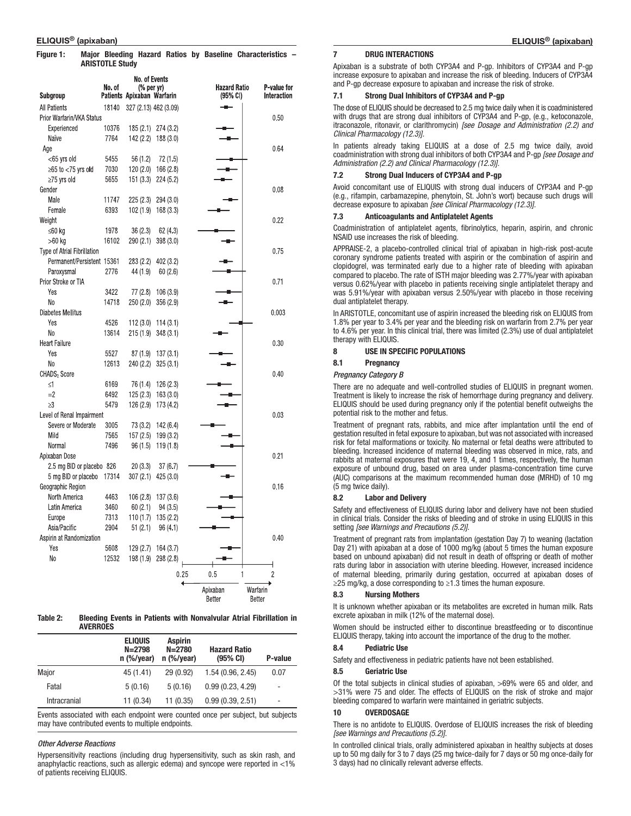| Figure 1: |                        |  |  | Major Bleeding Hazard Ratios by Baseline Characteristics - |  |
|-----------|------------------------|--|--|------------------------------------------------------------|--|
|           | <b>ARISTOTLE Study</b> |  |  |                                                            |  |

|                                    |        | <b>No. of Events</b>                      |           |      |                                 |                                   |
|------------------------------------|--------|-------------------------------------------|-----------|------|---------------------------------|-----------------------------------|
| Subgroup                           | No, of | $%$ per yr)<br>Patients Apixaban Warfarin |           |      | <b>Hazard Ratio</b><br>(95% CI) | P-value for<br><b>Interaction</b> |
| <b>All Patients</b>                | 18140  | 327 (2.13) 462 (3.09)                     |           |      |                                 |                                   |
| Prior Warfarin/VKA Status          |        |                                           |           |      |                                 | 0.50                              |
| Experienced                        | 10376  |                                           | 274 (3.2) |      |                                 |                                   |
| Naïve                              | 7764   | 185 (2.1)                                 |           |      |                                 |                                   |
|                                    |        | 142 (2.2)                                 | 188(3.0)  |      |                                 |                                   |
| Age                                |        |                                           |           |      |                                 | 0.64                              |
| <65 yrs old                        | 5455   | 56 (1.2)                                  | 72 (1.5)  |      |                                 |                                   |
| $\geq 65$ to $< 75$ yrs old        | 7030   | 120(2.0)                                  | 166 (2.8) |      |                                 |                                   |
| ≥75 yrs old                        | 5655   | 151(3.3)                                  | 224(5.2)  |      |                                 |                                   |
| Gender                             |        |                                           |           |      |                                 | 0.08                              |
| Male                               | 11747  | 225 (2.3)                                 | 294 (3.0) |      |                                 |                                   |
| Female                             | 6393   | 102 (1.9)                                 | 168(33)   |      |                                 |                                   |
| Weight                             |        |                                           |           |      |                                 | 0.22                              |
| $\leq 60$ kg                       | 1978   | 36 (2.3)                                  | 62 (4.3)  |      |                                 |                                   |
| $>60$ kg                           | 16102  | 290 (2.1)                                 | 398 (3.0) |      |                                 |                                   |
| <b>Type of Atrial Fibrillation</b> |        |                                           |           |      |                                 | 0.75                              |
| Permanent/Persistent 15361         |        | 283 (2.2)                                 | 402 (3.2) |      |                                 |                                   |
| Paroxysmal                         | 2776   | 44 (1.9)                                  | 60(2.6)   |      |                                 |                                   |
| Prior Stroke or TIA                |        |                                           |           |      |                                 | 0.71                              |
| Yes                                | 3422   | 77 (2.8)                                  | 106(3.9)  |      |                                 |                                   |
| No                                 | 14718  | 250 (2.0)                                 | 356(2.9)  |      |                                 |                                   |
| <b>Diabetes Mellitus</b>           |        |                                           |           |      |                                 | 0.003                             |
| Yes                                | 4526   | 112 (3.0)                                 | 114(3.1)  |      |                                 |                                   |
| No                                 | 13614  | 215 (1.9)                                 | 348(3.1)  |      |                                 |                                   |
| <b>Heart Failure</b>               |        |                                           |           |      |                                 | 0.30                              |
| Yes                                | 5527   | 87(1.9)                                   | 137(3.1)  |      |                                 |                                   |
| No                                 | 12613  | 240 (2.2)                                 | 325(3.1)  |      |                                 |                                   |
| CHADS <sub>2</sub> Score           |        |                                           |           |      |                                 | 0.40                              |
| $\leq 1$                           | 6169   | 76 (1.4)                                  | 126(2.3)  |      |                                 |                                   |
| $=2$                               | 6492   | 125(2,3)                                  | 163(3.0)  |      |                                 |                                   |
| $\geq$ 3                           | 5479   | 126 (2.9)                                 | 173 (4.2) |      |                                 |                                   |
| Level of Renal Impairment          |        |                                           |           |      |                                 | 0.03                              |
| Severe or Moderate                 | 3005   | 73 (3.2)                                  | 142(6.4)  |      |                                 |                                   |
| Mild                               | 7565   | 157(2.5)                                  | 199 (3.2) |      |                                 |                                   |
| Normal                             | 7496   | 96(1.5)                                   | 119 (1.8) |      |                                 |                                   |
| Apixaban Dose                      |        |                                           |           |      |                                 | 0.21                              |
| 2.5 mg BID or placebo 826          |        | 20(3.3)                                   | 37(6.7)   |      |                                 |                                   |
| 5 mg BID or placebo                | 17314  | 307(2.1)                                  | 425 (3.0) |      |                                 |                                   |
| Geographic Region                  |        |                                           |           |      |                                 | 0.16                              |
| North America                      |        |                                           |           |      |                                 |                                   |
|                                    | 4463   | 106(2.8)                                  | 137(3.6)  |      |                                 |                                   |
| Latin America                      | 3460   | 60(2.1)                                   | 94(3.5)   |      |                                 |                                   |
| Europe                             | 7313   | 110(1.7)                                  | 135(2,2)  |      |                                 |                                   |
| Asia/Pacific                       | 2904   | 51 (2.1)                                  | 96 (4.1)  |      |                                 |                                   |
| Aspirin at Randomization           |        |                                           |           |      |                                 | 0.40                              |
| Yes                                | 5608   | 129 (2.7)                                 | 164 (3.7) |      |                                 |                                   |
| No                                 | 12532  | 198 (1.9)                                 | 298 (2.8) |      |                                 | ┦                                 |
|                                    |        |                                           |           | 0.25 | 0.5<br>1                        | $\overline{c}$                    |
|                                    |        |                                           |           |      | Apixaban<br><b>Better</b>       | Warfarin<br><b>Better</b>         |

#### Table 2: Bleeding Events in Patients with Nonvalvular Atrial Fibrillation in **AVERROES**

|              | <b>ELIQUIS</b><br>$N = 2798$<br>$n$ (%/year) | <b>Aspirin</b><br>$N = 2780$<br>$n$ (%/year) | <b>Hazard Ratio</b><br>$(95% \text{ CI})$ | P-value |
|--------------|----------------------------------------------|----------------------------------------------|-------------------------------------------|---------|
| Major        | 45 (1.41)                                    | 29(0.92)                                     | 1.54(0.96, 2.45)                          | 0.07    |
| Fatal        | 5(0.16)                                      | 5(0.16)                                      | 0.99(0.23, 4.29)                          | ٠       |
| Intracranial | 11(0.34)                                     | 11 (0.35)                                    | 0.99(0.39, 2.51)                          | ٠       |

Events associated with each endpoint were counted once per subject, but subjects may have contributed events to multiple endpoints.

#### *Other Adverse Reactions*

Hypersensitivity reactions (including drug hypersensitivity, such as skin rash, and anaphylactic reactions, such as allergic edema) and syncope were reported in <1% of patients receiving ELIQUIS.

### 7 DRUG INTERACTIONS

Apixaban is a substrate of both CYP3A4 and P-gp. Inhibitors of CYP3A4 and P-gp increase exposure to apixaban and increase the risk of bleeding. Inducers of CYP3A4 and P-gp decrease exposure to apixaban and increase the risk of stroke.

#### 7.1 Strong Dual Inhibitors of CYP3A4 and P-gp

The dose of ELIQUIS should be decreased to 2.5 mg twice daily when it is coadministered with drugs that are strong dual inhibitors of CYP3A4 and P-gp, (e.g., ketoconazole, itraconazole, ritonavir, or clarithromycin) *[see Dosage and Administration (2.2) and Clinical Pharmacology (12.3)].*

In patients already taking ELIQUIS at a dose of 2.5 mg twice daily, avoid coadministration with strong dual inhibitors of both CYP3A4 and P-gp *[see Dosage and Administration (2.2) and Clinical Pharmacology (12.3)].*

### 7.2 Strong Dual Inducers of CYP3A4 and P-gp

Avoid concomitant use of ELIQUIS with strong dual inducers of CYP3A4 and P-gp (e.g., rifampin, carbamazepine, phenytoin, St. John's wort) because such drugs will decrease exposure to apixaban *[see Clinical Pharmacology (12.3)].*

#### 7.3 Anticoagulants and Antiplatelet Agents

Coadministration of antiplatelet agents, fibrinolytics, heparin, aspirin, and chronic NSAID use increases the risk of bleeding.

APPRAISE-2, a placebo-controlled clinical trial of apixaban in high-risk post-acute coronary syndrome patients treated with aspirin or the combination of aspirin and clopidogrel, was terminated early due to a higher rate of bleeding with apixaban compared to placebo. The rate of ISTH major bleeding was 2.77%/year with apixaban versus 0.62%/year with placebo in patients receiving single antiplatelet therapy and was 5.91%/year with apixaban versus 2.50%/year with placebo in those receiving dual antiplatelet therapy.

In ARISTOTLE, concomitant use of aspirin increased the bleeding risk on ELIQUIS from 1.8% per year to 3.4% per year and the bleeding risk on warfarin from 2.7% per year to 4.6% per year. In this clinical trial, there was limited (2.3%) use of dual antiplatelet therapy with ELIQUIS.

### 8 USE IN SPECIFIC POPULATIONS

#### 8.1 Pregnancy

#### *Pregnancy Category B*

There are no adequate and well-controlled studies of ELIQUIS in pregnant women. Treatment is likely to increase the risk of hemorrhage during pregnancy and delivery. ELIQUIS should be used during pregnancy only if the potential benefit outweighs the potential risk to the mother and fetus.

Treatment of pregnant rats, rabbits, and mice after implantation until the end of gestation resulted in fetal exposure to apixaban, but was not associated with increased risk for fetal malformations or toxicity. No maternal or fetal deaths were attributed to bleeding. Increased incidence of maternal bleeding was observed in mice, rats, and rabbits at maternal exposures that were 19, 4, and 1 times, respectively, the human exposure of unbound drug, based on area under plasma-concentration time curve (AUC) comparisons at the maximum recommended human dose (MRHD) of 10 mg (5 mg twice daily).

#### 8.2 Labor and Delivery

Safety and effectiveness of ELIQUIS during labor and delivery have not been studied in clinical trials. Consider the risks of bleeding and of stroke in using ELIQUIS in this setting *[see Warnings and Precautions (5.2)]*.

Treatment of pregnant rats from implantation (gestation Day 7) to weaning (lactation Day 21) with apixaban at a dose of 1000 mg/kg (about 5 times the human exposure based on unbound apixaban) did not result in death of offspring or death of mother rats during labor in association with uterine bleeding. However, increased incidence of maternal bleeding, primarily during gestation, occurred at apixaban doses of ≥25 mg/kg, a dose corresponding to ≥1.3 times the human exposure.

#### 8.3 Nursing Mothers

It is unknown whether apixaban or its metabolites are excreted in human milk. Rats excrete apixaban in milk (12% of the maternal dose).

Women should be instructed either to discontinue breastfeeding or to discontinue ELIQUIS therapy, taking into account the importance of the drug to the mother.

### 8.4 Pediatric Use

Safety and effectiveness in pediatric patients have not been established.

### 8.5 Geriatric Use

Of the total subjects in clinical studies of apixaban, >69% were 65 and older, and >31% were 75 and older. The effects of ELIQUIS on the risk of stroke and major bleeding compared to warfarin were maintained in geriatric subjects.

#### 0 **OVERDOSAGE**

There is no antidote to ELIQUIS. Overdose of ELIQUIS increases the risk of bleeding *[see Warnings and Precautions (5.2)]*.

In controlled clinical trials, orally administered apixaban in healthy subjects at doses up to 50 mg daily for 3 to 7 days (25 mg twice-daily for 7 days or 50 mg once-daily for 3 days) had no clinically relevant adverse effects.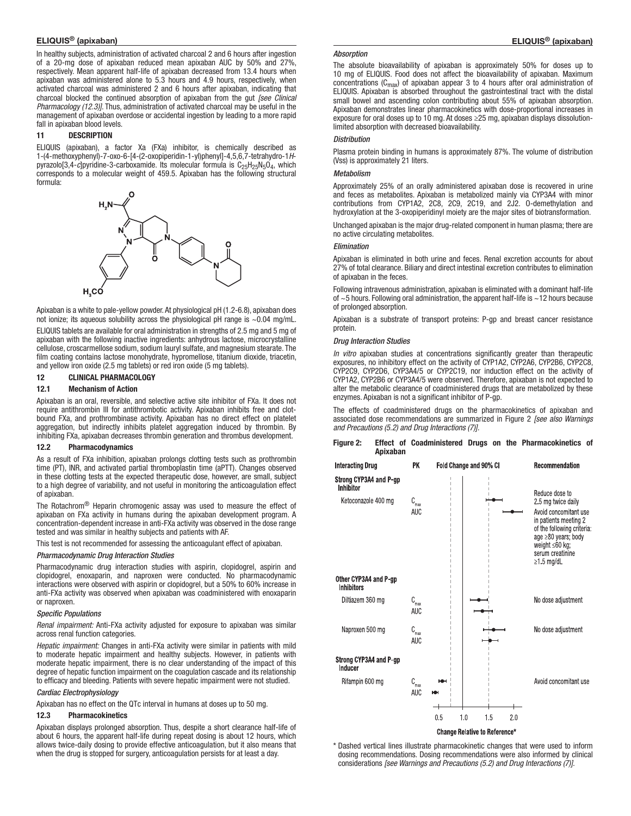In healthy subjects, administration of activated charcoal 2 and 6 hours after ingestion of a 20-mg dose of apixaban reduced mean apixaban AUC by 50% and 27%, respectively. Mean apparent half-life of apixaban decreased from 13.4 hours when apixaban was administered alone to 5.3 hours and 4.9 hours, respectively, when activated charcoal was administered 2 and 6 hours after apixaban, indicating that charcoal blocked the continued absorption of apixaban from the gut *[see Clinical Pharmacology (12.3)]*. Thus, administration of activated charcoal may be useful in the management of apixaban overdose or accidental ingestion by leading to a more rapid fall in apixaban blood levels.

#### 11 DESCRIPTION

ELIQUIS (apixaban), a factor Xa (FXa) inhibitor, is chemically described as 1-(4-methoxyphenyl)-7-oxo-6-[4-(2-oxopiperidin-1-yl)phenyl]-4,5,6,7-tetrahydro-1*H*pyrazolo[3,4-*c*]pyridine-3-carboxamide. Its molecular formula is C<sub>25</sub>H<sub>25</sub>N<sub>5</sub>O<sub>4</sub>, which corresponds to a molecular weight of 459.5. Apixaban has the following structural formula:



Apixaban is a white to pale-yellow powder. At physiological pH (1.2-6.8), apixaban does not ionize; its aqueous solubility across the physiological pH range is ~0.04 mg/mL. ELIQUIS tablets are available for oral administration in strengths of 2.5 mg and 5 mg of apixaban with the following inactive ingredients: anhydrous lactose, microcrystalline cellulose, croscarmellose sodium, sodium lauryl sulfate, and magnesium stearate. The film coating contains lactose monohydrate, hypromellose, titanium dioxide, triacetin, and yellow iron oxide (2.5 mg tablets) or red iron oxide (5 mg tablets).

#### 12 CLINICAL PHARMACOLOGY

#### 12.1 Mechanism of Action

Apixaban is an oral, reversible, and selective active site inhibitor of FXa. It does not require antithrombin III for antithrombotic activity. Apixaban inhibits free and clotbound FXa, and prothrombinase activity. Apixaban has no direct effect on platelet aggregation, but indirectly inhibits platelet aggregation induced by thrombin. By inhibiting FXa, apixaban decreases thrombin generation and thrombus development.

#### 12.2 Pharmacodynamics

As a result of FXa inhibition, apixaban prolongs clotting tests such as prothrombin time (PT), INR, and activated partial thromboplastin time (aPTT). Changes observed in these clotting tests at the expected therapeutic dose, however, are small, subject to a high degree of variability, and not useful in monitoring the anticoagulation effect of apixaban.

The Rotachrom® Heparin chromogenic assay was used to measure the effect of apixaban on FXa activity in humans during the apixaban development program. A concentration-dependent increase in anti-FXa activity was observed in the dose range tested and was similar in healthy subjects and patients with AF.

This test is not recommended for assessing the anticoagulant effect of apixaban.

#### *Pharmacodynamic Drug Interaction Studies*

Pharmacodynamic drug interaction studies with aspirin, clopidogrel, aspirin and clopidogrel, enoxaparin, and naproxen were conducted. No pharmacodynamic interactions were observed with aspirin or clopidogrel, but a 50% to 60% increase in anti-FXa activity was observed when apixaban was coadministered with enoxaparin or naproxen.

#### *Specific Populations*

*Renal impairment:* Anti-FXa activity adjusted for exposure to apixaban was similar across renal function categories.

*Hepatic impairment:* Changes in anti-FXa activity were similar in patients with mild to moderate hepatic impairment and healthy subjects. However, in patients with moderate hepatic impairment, there is no clear understanding of the impact of this degree of hepatic function impairment on the coagulation cascade and its relationship to efficacy and bleeding. Patients with severe hepatic impairment were not studied.

#### *Cardiac Electrophysiology*

Apixaban has no effect on the QTc interval in humans at doses up to 50 mg.

# 12.3 Pharmacokinetics

Apixaban displays prolonged absorption. Thus, despite a short clearance half-life of about 6 hours, the apparent half-life during repeat dosing is about 12 hours, which allows twice-daily dosing to provide effective anticoagulation, but it also means that when the drug is stopped for surgery, anticoagulation persists for at least a day.

### ELIQUIS® (apixaban) ELIQUIS® (apixaban)

#### *Absorption*

The absolute bioavailability of apixaban is approximately 50% for doses up to 10 mg of ELIQUIS. Food does not affect the bioavailability of apixaban. Maximum concentrations  $(C_{\text{max}})$  of apixaban appear 3 to 4 hours after oral administration of ELIQUIS. Apixaban is absorbed throughout the gastrointestinal tract with the distal small bowel and ascending colon contributing about 55% of apixaban absorption. Apixaban demonstrates linear pharmacokinetics with dose-proportional increases in exposure for oral doses up to 10 mg. At doses ≥25 mg, apixaban displays dissolutionlimited absorption with decreased bioavailability.

#### *Distribution*

Plasma protein binding in humans is approximately 87%. The volume of distribution (Vss) is approximately 21 liters.

#### *Metabolism*

Approximately 25% of an orally administered apixaban dose is recovered in urine and feces as metabolites. Apixaban is metabolized mainly via CYP3A4 with minor contributions from CYP1A2, 2C8, 2C9, 2C19, and 2J2. O-demethylation and hydroxylation at the 3-oxopiperidinyl moiety are the major sites of biotransformation.

Unchanged apixaban is the major drug-related component in human plasma; there are no active circulating metabolites.

#### *Elimination*

Apixaban is eliminated in both urine and feces. Renal excretion accounts for about 27% of total clearance. Biliary and direct intestinal excretion contributes to elimination of apixaban in the feces.

Following intravenous administration, apixaban is eliminated with a dominant half-life of ~5 hours. Following oral administration, the apparent half-life is ~12 hours because of prolonged absorption.

Apixaban is a substrate of transport proteins: P-gp and breast cancer resistance protein.

#### *Drug Interaction Studies*

*In vitro* apixaban studies at concentrations significantly greater than therapeutic exposures, no inhibitory effect on the activity of CYP1A2, CYP2A6, CYP2B6, CYP2C8, CYP2C9, CYP2D6, CYP3A4/5 or CYP2C19, nor induction effect on the activity of CYP1A2, CYP2B6 or CYP3A4/5 were observed. Therefore, apixaban is not expected to alter the metabolic clearance of coadministered drugs that are metabolized by these enzymes. Apixaban is not a significant inhibitor of P-gp.

The effects of coadministered drugs on the pharmacokinetics of apixaban and associated dose recommendations are summarized in Figure 2 *[see also Warnings and Precautions (5.2) and Drug Interactions (7)].*

#### Figure 2: Effect of Coadministered Drugs on the Pharmacokinetics of Apixaban



\* Dashed vertical lines illustrate pharmacokinetic changes that were used to inform dosing recommendations. Dosing recommendations were also informed by clinical considerations *[see Warnings and Precautions (5.2) and Drug Interactions (7)].*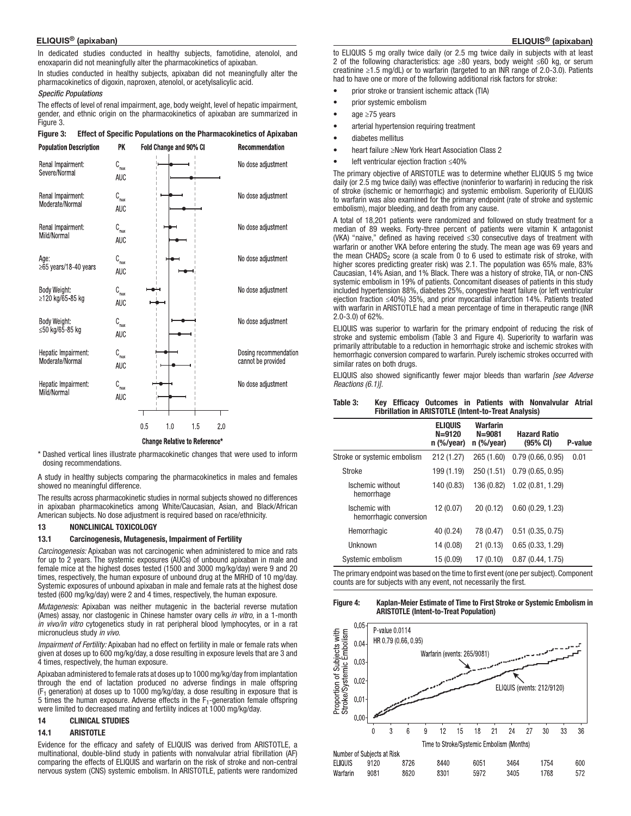In dedicated studies conducted in healthy subjects, famotidine, atenolol, and enoxaparin did not meaningfully alter the pharmacokinetics of apixaban.

In studies conducted in healthy subjects, apixaban did not meaningfully alter the pharmacokinetics of digoxin, naproxen, atenolol, or acetylsalicylic acid.

#### *Specific Populations*

The effects of level of renal impairment, age, body weight, level of hepatic impairment, gender, and ethnic origin on the pharmacokinetics of apixaban are summarized in Figure 3.

Figure 3: Effect of Specific Populations on the Pharmacokinetics of Apixaban

![](_page_4_Figure_6.jpeg)

\* Dashed vertical lines illustrate pharmacokinetic changes that were used to inform dosing recommendations.

A study in healthy subjects comparing the pharmacokinetics in males and females showed no meaningful difference.

The results across pharmacokinetic studies in normal subjects showed no differences in apixaban pharmacokinetics among White/Caucasian, Asian, and Black/African American subjects. No dose adjustment is required based on race/ethnicity.

#### 13 NONCLINICAL TOXICOLOGY

#### 13.1 Carcinogenesis, Mutagenesis, Impairment of Fertility

*Carcinogenesis:* Apixaban was not carcinogenic when administered to mice and rats for up to 2 years. The systemic exposures (AUCs) of unbound apixaban in male and female mice at the highest doses tested (1500 and 3000 mg/kg/day) were 9 and 20 times, respectively, the human exposure of unbound drug at the MRHD of 10 mg/day. Systemic exposures of unbound apixaban in male and female rats at the highest dose tested (600 mg/kg/day) were 2 and 4 times, respectively, the human exposure.

*Mutagenesis:* Apixaban was neither mutagenic in the bacterial reverse mutation (Ames) assay, nor clastogenic in Chinese hamster ovary cells *in vitro*, in a 1-month *in vivo/in vitro* cytogenetics study in rat peripheral blood lymphocytes, or in a rat micronucleus study *in vivo*.

*Impairment of Fertility:* Apixaban had no effect on fertility in male or female rats when given at doses up to 600 mg/kg/day, a dose resulting in exposure levels that are 3 and 4 times, respectively, the human exposure.

Apixaban administered to female rats at doses up to 1000 mg/kg/day from implantation through the end of lactation produced no adverse findings in male offspring  $(F_1$  generation) at doses up to 1000 mg/kg/day, a dose resulting in exposure that is 5 times the human exposure. Adverse effects in the  $F_1$ -generation female offspring were limited to decreased mating and fertility indices at 1000 mg/kg/day.

### 14 CLINICAL STUDIES

#### 14.1 ARISTOTLE

Evidence for the efficacy and safety of ELIQUIS was derived from ARISTOTLE, a multinational, double-blind study in patients with nonvalvular atrial fibrillation (AF) comparing the effects of ELIQUIS and warfarin on the risk of stroke and non-central nervous system (CNS) systemic embolism. In ARISTOTLE, patients were randomized

#### ELIQUIS® (apixaban) ELIQUIS® (apixaban)

to ELIQUIS 5 mg orally twice daily (or 2.5 mg twice daily in subjects with at least 2 of the following characteristics: age ≥80 years, body weight ≤60 kg, or serum creatinine ≥1.5 mg/dL) or to warfarin (targeted to an INR range of 2.0-3.0). Patients had to have one or more of the following additional risk factors for stroke:

- prior stroke or transient ischemic attack (TIA)
- prior systemic embolism
- age  $\geq$ 75 years
- arterial hypertension requiring treatment
- diabetes mellitus
- heart failure ≥New York Heart Association Class 2
- left ventricular ejection fraction ≤40%

The primary objective of ARISTOTLE was to determine whether ELIQUIS 5 mg twice daily (or 2.5 mg twice daily) was effective (noninferior to warfarin) in reducing the risk of stroke (ischemic or hemorrhagic) and systemic embolism. Superiority of ELIQUIS to warfarin was also examined for the primary endpoint (rate of stroke and systemic embolism), major bleeding, and death from any cause.

A total of 18,201 patients were randomized and followed on study treatment for a median of 89 weeks. Forty-three percent of patients were vitamin K antagonist (VKA) "naive," defined as having received ≤30 consecutive days of treatment with warfarin or another VKA before entering the study. The mean age was 69 years and the mean CHADS<sub>2</sub> score (a scale from 0 to 6 used to estimate risk of stroke, with higher scores predicting greater risk) was 2.1. The population was 65% male, 83% Caucasian, 14% Asian, and 1% Black. There was a history of stroke, TIA, or non-CNS systemic embolism in 19% of patients. Concomitant diseases of patients in this study included hypertension 88%, diabetes 25%, congestive heart failure (or left ventricular ejection fraction ≤40%) 35%, and prior myocardial infarction 14%. Patients treated with warfarin in ARISTOTLE had a mean percentage of time in therapeutic range (INR 2.0-3.0) of 62%.

ELIQUIS was superior to warfarin for the primary endpoint of reducing the risk of stroke and systemic embolism (Table 3 and Figure 4). Superiority to warfarin was primarily attributable to a reduction in hemorrhagic stroke and ischemic strokes with hemorrhagic conversion compared to warfarin. Purely ischemic strokes occurred with similar rates on both drugs.

ELIQUIS also showed significantly fewer major bleeds than warfarin *[see Adverse Reactions (6.1)].*

| Table 3: |  |                                                             |  | Key Efficacy Outcomes in Patients with Nonvalvular Atrial |  |
|----------|--|-------------------------------------------------------------|--|-----------------------------------------------------------|--|
|          |  | <b>Fibrillation in ARISTOTLE (Intent-to-Treat Analysis)</b> |  |                                                           |  |

|                                         | <b>ELIQUIS</b><br>$N = 9120$<br>$n$ (%/year) | Warfarin<br>$N = 9081$<br>$n$ (%/year) | <b>Hazard Ratio</b><br>$(95% \text{ CI})$ | P-value |
|-----------------------------------------|----------------------------------------------|----------------------------------------|-------------------------------------------|---------|
| Stroke or systemic embolism             | 212 (1.27)                                   | 265 (1.60)                             | 0.79(0.66, 0.95)                          | 0.01    |
| <b>Stroke</b>                           | 199 (1.19)                                   | 250 (1.51)                             | 0.79(0.65, 0.95)                          |         |
| Ischemic without<br>hemorrhage          | 140 (0.83)                                   | 136 (0.82)                             | 1.02(0.81, 1.29)                          |         |
| Ischemic with<br>hemorrhagic conversion | 12 (0.07)                                    | 20(0.12)                               | 0.60(0.29, 1.23)                          |         |
| Hemorrhagic                             | 40 (0.24)                                    | 78 (0.47)                              | 0.51(0.35, 0.75)                          |         |
| Unknown                                 | 14 (0.08)                                    | 21(0.13)                               | 0.65(0.33, 1.29)                          |         |
| Systemic embolism                       | 15 (0.09)                                    | 17 (0.10)                              | 0.87(0.44, 1.75)                          |         |

The primary endpoint was based on the time to first event (one per subject). Component counts are for subjects with any event, not necessarily the first.

Figure 4: Kaplan-Meier Estimate of Time to First Stroke or Systemic Embolism in ARISTOTLE (Intent-to-Treat Population)

![](_page_4_Figure_36.jpeg)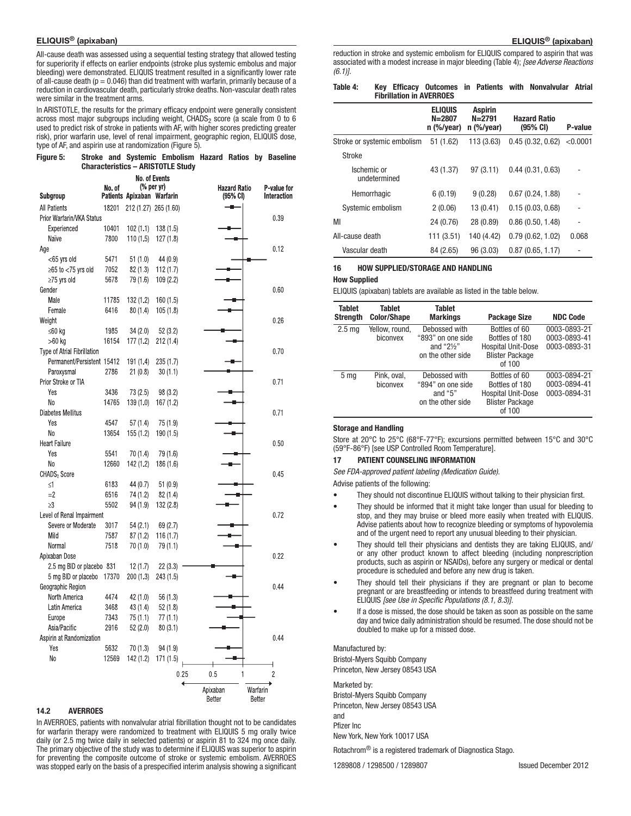All-cause death was assessed using a sequential testing strategy that allowed testing for superiority if effects on earlier endpoints (stroke plus systemic embolus and major bleeding) were demonstrated. ELIQUIS treatment resulted in a significantly lower rate of all-cause death ( $p = 0.046$ ) than did treatment with warfarin, primarily because of a reduction in cardiovascular death, particularly stroke deaths. Non-vascular death rates were similar in the treatment arms.

In ARISTOTLE, the results for the primary efficacy endpoint were generally consistent across most major subgroups including weight,  $CHADS<sub>2</sub>$  score (a scale from 0 to 6 used to predict risk of stroke in patients with AF, with higher scores predicting greater risk), prior warfarin use, level of renal impairment, geographic region, ELIQUIS dose, type of AF, and aspirin use at randomization (Figure 5).

| Figure 5:                          |        |                            | <b>Characteristics - ARISTOTLE Study</b> |                    |                     | Stroke and Systemic Embolism Hazard Ratios by Baseline |
|------------------------------------|--------|----------------------------|------------------------------------------|--------------------|---------------------|--------------------------------------------------------|
|                                    |        |                            | No. of Events                            |                    |                     |                                                        |
|                                    | No. of |                            | $%$ per yr)                              |                    | <b>Hazard Ratio</b> | P-value for                                            |
| Subgroup                           |        | Patients Apixaban Warfarin |                                          |                    | (95% CI)            | <b>Interaction</b>                                     |
| <b>All Patients</b>                | 18201  |                            | 212 (1.27) 265 (1.60)                    |                    |                     |                                                        |
| Prior Warfarin/VKA Status          |        |                            |                                          |                    |                     | 0.39                                                   |
| Experienced                        | 10401  | 102(1.1)                   | 138(1.5)                                 |                    |                     |                                                        |
| Naïve                              | 7800   | 110(1.5)                   | 127(1.8)                                 |                    |                     |                                                        |
| Age                                |        |                            |                                          |                    |                     | 0.12                                                   |
| <65 yrs old                        | 5471   | 51(1.0)                    | 44 (0.9)                                 |                    |                     |                                                        |
| ≥65 to <75 yrs old                 | 7052   | 82(1.3)                    | 112(1.7)                                 |                    |                     |                                                        |
| ≥75 yrs old                        | 5678   | 79 (1.6)                   | 109(2.2)                                 |                    |                     |                                                        |
| Gender                             |        |                            |                                          |                    |                     | 0.60                                                   |
| Male                               | 11785  | 132(1.2)                   | 160(1.5)                                 |                    |                     |                                                        |
| Female                             | 6416   | 80(1.4)                    | 105(1.8)                                 |                    |                     |                                                        |
| Weight                             |        |                            |                                          |                    |                     | 0.26                                                   |
|                                    |        |                            |                                          |                    |                     |                                                        |
| ≤60 kg                             | 1985   | 34(2.0)                    | 52(3.2)                                  |                    |                     |                                                        |
| $>60$ kg                           | 16154  | 177(1.2)                   | 212(1.4)                                 |                    |                     |                                                        |
| <b>Type of Atrial Fibrillation</b> |        |                            |                                          |                    |                     | 0.70                                                   |
| Permanent/Persistent 15412         |        | 191(1.4)                   | 235 (1.7)                                |                    |                     |                                                        |
| Paroxysmal                         | 2786   | 21(0.8)                    | 30(1.1)                                  |                    |                     |                                                        |
| Prior Stroke or TIA                |        |                            |                                          |                    |                     | 0.71                                                   |
| Yes                                | 3436   | 73(2.5)                    | 98 (3.2)                                 |                    |                     |                                                        |
| No                                 | 14765  | 139(1.0)                   | 167(1.2)                                 |                    |                     |                                                        |
| <b>Diabetes Mellitus</b>           |        |                            |                                          |                    |                     | 0.71                                                   |
| Yes                                | 4547   | 57(1.4)                    | 75 (1.9)                                 |                    |                     |                                                        |
| No                                 | 13654  | 155(1.2)                   | 190 (1.5)                                |                    |                     |                                                        |
| <b>Heart Failure</b>               |        |                            |                                          |                    |                     | 0.50                                                   |
| Yes                                | 5541   | 70 (1.4)                   | 79 (1.6)                                 |                    |                     |                                                        |
| No                                 | 12660  | 142 (1.2)                  | 186 (1.6)                                |                    |                     |                                                        |
| CHADS <sub>2</sub> Score           |        |                            |                                          |                    |                     | 0.45                                                   |
| ≤1                                 | 6183   | 44 (0.7)                   | 51(0.9)                                  |                    |                     |                                                        |
| $=2$                               | 6516   | 74 (1.2)                   | 82 (1.4)                                 |                    |                     |                                                        |
| $\geq$ 3                           | 5502   | 94(1.9)                    | 132(2.8)                                 |                    |                     |                                                        |
| Level of Renal Impairment          |        |                            |                                          |                    |                     | 0.72                                                   |
| Severe or Moderate                 | 3017   | 54(2.1)                    | 69(2.7)                                  |                    |                     |                                                        |
| Mild                               | 7587   | 87(1.2)                    | 116(1.7)                                 |                    |                     |                                                        |
| Normal                             | 7518   | 70(1.0)                    | 79 (1.1)                                 |                    |                     |                                                        |
| Apixaban Dose                      |        |                            |                                          |                    |                     | 0.22                                                   |
| 2.5 mg BID or placebo 831          |        | 12(1.7)                    | 22(33)                                   |                    |                     |                                                        |
| 5 mg BID or placebo                | 17370  | 200(1.3)                   | 243(1.5)                                 |                    |                     |                                                        |
| Geographic Region                  |        |                            |                                          |                    |                     | 0.44                                                   |
| North America                      | 4474   | 42 (1.0)                   | 56(1.3)                                  |                    |                     |                                                        |
| Latin America                      | 3468   | 43 (1.4)                   | 52(1.8)                                  |                    |                     |                                                        |
| Europe                             | 7343   | 75 (1.1)                   | 77 (1.1)                                 |                    |                     |                                                        |
| Asia/Pacific                       | 2916   | 52(2.0)                    | 80(3.1)                                  |                    |                     |                                                        |
| Aspirin at Randomization           |        |                            |                                          |                    |                     | 0.44                                                   |
| Yes                                | 5632   | 70 (1.3)                   | 94 (1.9)                                 |                    |                     |                                                        |
| No                                 | 12569  | 142 (12)                   | 171 (1.5)                                |                    |                     |                                                        |
|                                    |        |                            |                                          |                    |                     |                                                        |
|                                    |        |                            | 0.25                                     | 0.5                | 1                   | $\overline{c}$                                         |
|                                    |        |                            |                                          | Apixaban<br>Better |                     | Warfarin<br>Better                                     |

#### 14.2 AVERROES

In AVERROES, patients with nonvalvular atrial fibrillation thought not to be candidates for warfarin therapy were randomized to treatment with ELIQUIS 5 mg orally twice daily (or 2.5 mg twice daily in selected patients) or aspirin 81 to 324 mg once daily. The primary objective of the study was to determine if ELIQUIS was superior to aspirin for preventing the composite outcome of stroke or systemic embolism. AVERROES was stopped early on the basis of a prespecified interim analysis showing a significant

ELIQUIS® (apixaban) ELIQUIS® (apixaban)

reduction in stroke and systemic embolism for ELIQUIS compared to aspirin that was associated with a modest increase in major bleeding (Table 4); *[see Adverse Reactions (6.1)].*

| Table 4: | Key Efficacy Outcomes in Patients with Nonvalvular<br><b>Fibrillation in AVERROES</b> |                |                |      | Atrial |
|----------|---------------------------------------------------------------------------------------|----------------|----------------|------|--------|
|          |                                                                                       | <b>ELIOUIS</b> | <b>Aspirin</b> | $ -$ |        |

|                             | $N = 2807$<br>$n$ (%/year) | $N = 2791$<br>$n$ (%/year) | <b>Hazard Ratio</b><br>$(95% \text{ CI})$ | P-value        |
|-----------------------------|----------------------------|----------------------------|-------------------------------------------|----------------|
| Stroke or systemic embolism | 51 (1.62)                  | 113 (3.63)                 | 0.45(0.32, 0.62)                          | < 0.0001       |
| <b>Stroke</b>               |                            |                            |                                           |                |
| Ischemic or<br>undetermined | 43 (1.37)                  | 97(3.11)                   | 0.44(0.31, 0.63)                          |                |
| Hemorrhagic                 | 6(0.19)                    | 9(0.28)                    | 0.67(0.24, 1.88)                          | ٠              |
| Systemic embolism           | 2(0.06)                    | 13 (0.41)                  | 0.15(0.03, 0.68)                          | -              |
| MI                          | 24 (0.76)                  | 28 (0.89)                  | 0.86(0.50, 1.48)                          | $\overline{a}$ |
| All-cause death             | 111 (3.51)                 | 140 (4.42)                 | 0.79(0.62, 1.02)                          | 0.068          |
| Vascular death              | 84 (2.65)                  | 96 (3.03)                  | 0.87(0.65, 1.17)                          |                |

#### 16 HOW SUPPLIED/STORAGE AND HANDLING

#### How Supplied

ELIQUIS (apixaban) tablets are available as listed in the table below.

| <b>Tablet</b><br>Strength | Tablet<br><b>Color/Shape</b> | Tablet<br><b>Markings</b>                                                         | <b>Package Size</b>                                                                              | <b>NDC Code</b>                              |
|---------------------------|------------------------------|-----------------------------------------------------------------------------------|--------------------------------------------------------------------------------------------------|----------------------------------------------|
| 2.5 <sub>mq</sub>         | Yellow, round,<br>biconvex   | Debossed with<br>"893" on one side<br>and " $2\frac{1}{2}$ "<br>on the other side | Bottles of 60<br>Bottles of 180<br><b>Hospital Unit-Dose</b><br><b>Blister Package</b><br>of 100 | 0003-0893-21<br>0003-0893-41<br>0003-0893-31 |
| 5 <sub>mq</sub>           | Pink, oval,<br>biconvex      | Debossed with<br>"894" on one side<br>and " $5"$<br>on the other side             | Bottles of 60<br>Bottles of 180<br><b>Hospital Unit-Dose</b><br><b>Blister Package</b><br>of 100 | 0003-0894-21<br>0003-0894-41<br>0003-0894-31 |

#### Storage and Handling

Store at 20°C to 25°C (68°F-77°F); excursions permitted between 15°C and 30°C (59°F-86°F) [see USP Controlled Room Temperature].

#### 17 PATIENT COUNSELING INFORMATION

*See FDA-approved patient labeling (Medication Guide).*

Advise patients of the following:

- They should not discontinue ELIQUIS without talking to their physician first.
- They should be informed that it might take longer than usual for bleeding to stop, and they may bruise or bleed more easily when treated with ELIQUIS. Advise patients about how to recognize bleeding or symptoms of hypovolemia and of the urgent need to report any unusual bleeding to their physician.
- They should tell their physicians and dentists they are taking ELIQUIS, and/ or any other product known to affect bleeding (including nonprescription products, such as aspirin or NSAIDs), before any surgery or medical or dental procedure is scheduled and before any new drug is taken.
- They should tell their physicians if they are pregnant or plan to become pregnant or are breastfeeding or intends to breastfeed during treatment with ELIQUIS *[see Use in Specific Populations (8.1, 8.3)].*
- If a dose is missed, the dose should be taken as soon as possible on the same day and twice daily administration should be resumed. The dose should not be doubled to make up for a missed dose.

Manufactured by: Bristol-Myers Squibb Company

Princeton, New Jersey 08543 USA

Marketed by: Bristol-Myers Squibb Company Princeton, New Jersey 08543 USA and

Pfizer Inc

New York, New York 10017 USA

Rotachrom® is a registered trademark of Diagnostica Stago.

1289808 / 1298500 / 1289807 Issued December 2012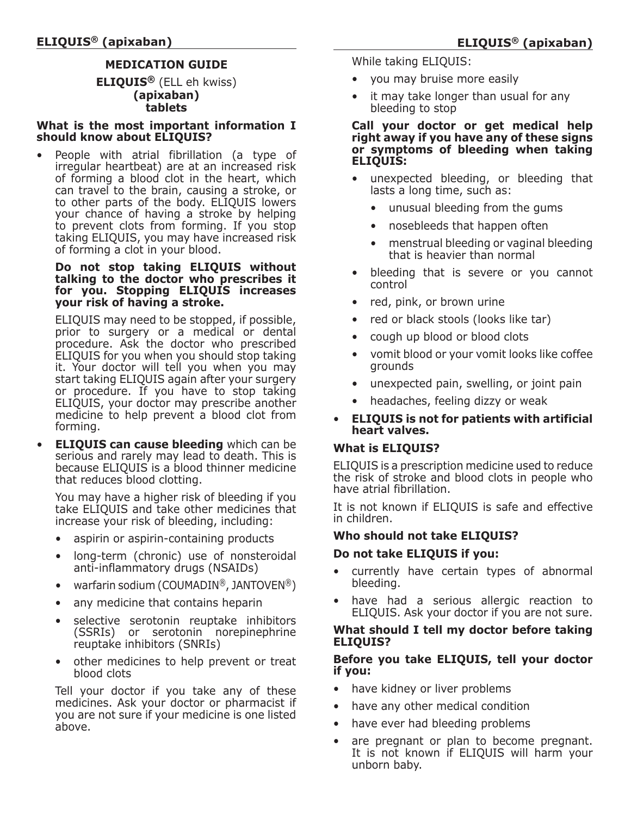# **MEDICATION GUIDE**

# **ELIQUIS®** (ELL eh kwiss) **(apixaban) tablets**

# **What is the most important information I should know about ELIQUIS?**

People with atrial fibrillation (a type of irregular heartbeat) are at an increased risk of forming a blood clot in the heart, which can travel to the brain, causing a stroke, or to other parts of the body. ELIQUIS lowers your chance of having a stroke by helping to prevent clots from forming. If you stop taking ELIQUIS, you may have increased risk of forming a clot in your blood.

# **Do not stop taking ELIQUIS without talking to the doctor who prescribes it for you. Stopping ELIQUIS increases your risk of having a stroke.**

ELIQUIS may need to be stopped, if possible, prior to surgery or a medical or dental procedure. Ask the doctor who prescribed ELIQUIS for you when you should stop taking it. Your doctor will tell you when you may start taking ELIQUIS again after your surgery or procedure. If you have to stop taking ELIQUIS, your doctor may prescribe another medicine to help prevent a blood clot from forming.

**ELIQUIS can cause bleeding** which can be serious and rarely may lead to death. This is because ELIQUIS is a blood thinner medicine that reduces blood clotting.

You may have a higher risk of bleeding if you take ELIQUIS and take other medicines that increase your risk of bleeding, including:

- aspirin or aspirin-containing products
- long-term (chronic) use of nonsteroidal anti-inflammatory drugs (NSAIDs)
- warfarin sodium (COUMADIN®, JANTOVEN®)
- any medicine that contains heparin
- selective serotonin reuptake inhibitors (SSRIs) or serotonin norepinephrine reuptake inhibitors (SNRIs)
- other medicines to help prevent or treat blood clots

Tell your doctor if you take any of these medicines. Ask your doctor or pharmacist if you are not sure if your medicine is one listed above.

 While taking ELIQUIS:

- you may bruise more easily
- it may take longer than usual for any bleeding to stop

# **Call your doctor or get medical help right away if you have any of these signs or symptoms of bleeding when taking ELIQUIS:**

- unexpected bleeding, or bleeding that lasts a long time, such as:
	- unusual bleeding from the gums
	- nosebleeds that happen often
	- menstrual bleeding or vaginal bleeding that is heavier than normal
- bleeding that is severe or you cannot control
- red, pink, or brown urine
- red or black stools (looks like tar)
- cough up blood or blood clots
- vomit blood or your vomit looks like coffee grounds
- unexpected pain, swelling, or joint pain
- headaches, feeling dizzy or weak
- • **ELIQUIS is not for patients with artificial heart valves.**

# **What is ELIQUIS?**

ELIQUIS is a prescription medicine used to reduce the risk of stroke and blood clots in people who have atrial fibrillation.

It is not known if ELIQUIS is safe and effective in children.

# **Who should not take ELIQUIS?**

# **Do not take ELIQUIS if you:**

- currently have certain types of abnormal bleeding.
- have had a serious allergic reaction to ELIQUIS. Ask your doctor if you are not sure.

# **What should I tell my doctor before taking ELIQUIS?**

# **Before you take ELIQUIS, tell your doctor if you:**

- have kidney or liver problems
- have any other medical condition
- have ever had bleeding problems
- are pregnant or plan to become pregnant. It is not known if ELIQUIS will harm your unborn baby.